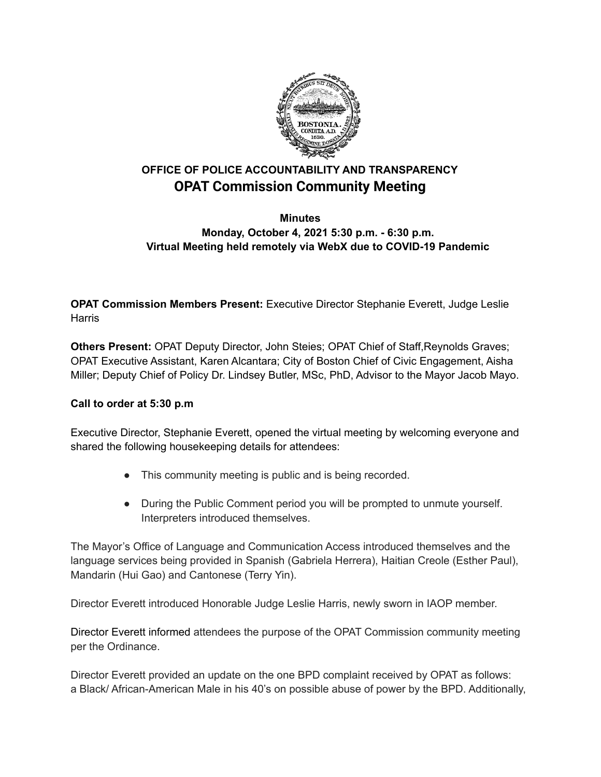

# **OFFICE OF POLICE ACCOUNTABILITY AND TRANSPARENCY OPAT Commission Community Meeting**

## **Minutes Monday, October 4, 2021 5:30 p.m. - 6:30 p.m. Virtual Meeting held remotely via WebX due to COVID-19 Pandemic**

**OPAT Commission Members Present:** Executive Director Stephanie Everett, Judge Leslie **Harris** 

**Others Present:** OPAT Deputy Director, John Steies; OPAT Chief of Staff,Reynolds Graves; OPAT Executive Assistant, Karen Alcantara; City of Boston Chief of Civic Engagement, Aisha Miller; Deputy Chief of Policy Dr. Lindsey Butler, MSc, PhD, Advisor to the Mayor Jacob Mayo.

## **Call to order at 5:30 p.m**

Executive Director, Stephanie Everett, opened the virtual meeting by welcoming everyone and shared the following housekeeping details for attendees:

- This community meeting is public and is being recorded.
- During the Public Comment period you will be prompted to unmute yourself. Interpreters introduced themselves.

The Mayor's Office of Language and Communication Access introduced themselves and the language services being provided in Spanish (Gabriela Herrera), Haitian Creole (Esther Paul), Mandarin (Hui Gao) and Cantonese (Terry Yin).

Director Everett introduced Honorable Judge Leslie Harris, newly sworn in IAOP member.

Director Everett informed attendees the purpose of the OPAT Commission community meeting per the Ordinance.

Director Everett provided an update on the one BPD complaint received by OPAT as follows: a Black/ African-American Male in his 40's on possible abuse of power by the BPD. Additionally,